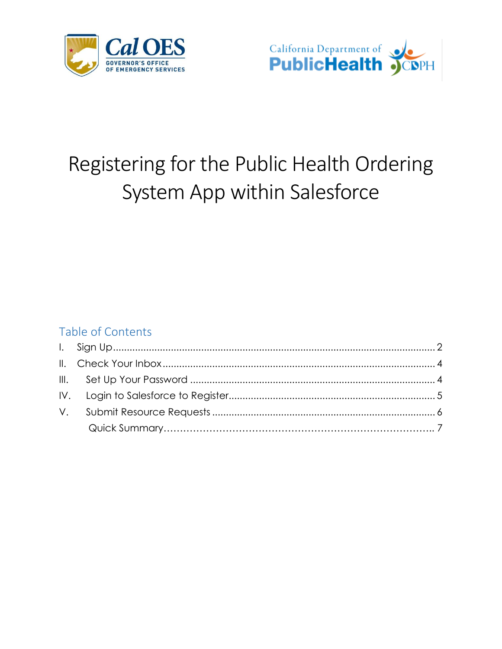



# Registering for the Public Health Ordering System App within Salesforce

#### Table of Contents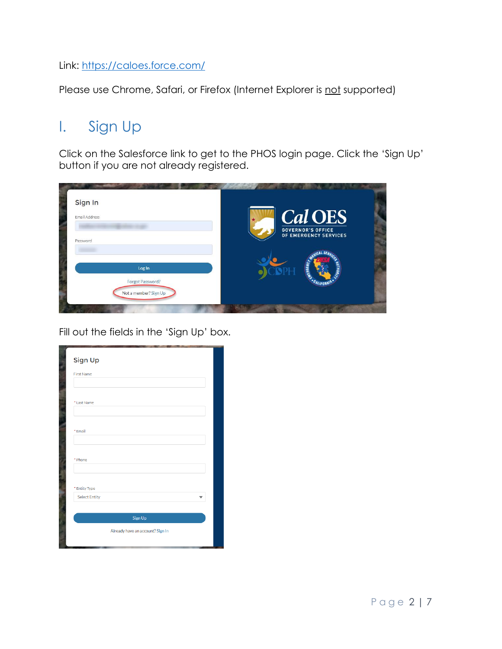Link:<https://caloes.force.com/>

Please use Chrome, Safari, or Firefox (Internet Explorer is not supported)

#### <span id="page-1-0"></span>I. Sign Up

Click on the Salesforce link to get to the PHOS login page. Click the 'Sign Up' button if you are not already registered.

| Sign In<br>Email Address                  | <b>Cal OES</b><br><b>GOVERNOR'S OFFICE</b><br>OF EMERGENCY SERVICES |
|-------------------------------------------|---------------------------------------------------------------------|
| Password<br>Log In                        |                                                                     |
| Forgot Password?<br>Not a member? Sign Up |                                                                     |

Fill out the fields in the 'Sign Up' box.

| Sign Up              |                                  |
|----------------------|----------------------------------|
| <b>First Name</b>    |                                  |
| * Last Name          |                                  |
| *Email               |                                  |
| * Phone              |                                  |
| * Entity Type        |                                  |
| <b>Select Entity</b> |                                  |
|                      | Sign Up                          |
|                      | Already have an account? Sign In |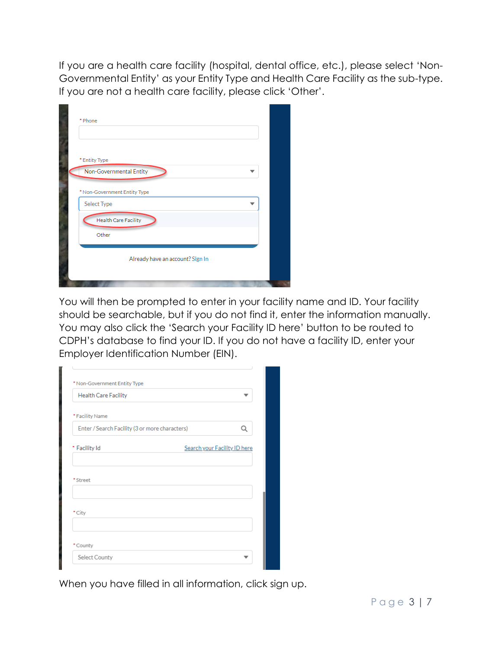If you are a health care facility (hospital, dental office, etc.), please select 'Non-Governmental Entity' as your Entity Type and Health Care Facility as the sub-type. If you are not a health care facility, please click 'Other'.

| * Phone |                                             |  |
|---------|---------------------------------------------|--|
|         | * Entity Type<br>Non-Governmental Entity    |  |
|         | * Non-Government Entity Type<br>Select Type |  |
|         | <b>Health Care Facility</b><br>Other        |  |
|         | Already have an account? Sign In            |  |

You will then be prompted to enter in your facility name and ID. Your facility should be searchable, but if you do not find it, enter the information manually. You may also click the 'Search your Facility ID here' button to be routed to CDPH's database to find your ID. If you do not have a facility ID, enter your Employer Identification Number (EIN).

| <b>Health Care Facility</b>                    |                              |
|------------------------------------------------|------------------------------|
| * Facility Name                                |                              |
| Enter / Search Facility (3 or more characters) |                              |
| * Facility Id                                  | Search your Facility ID here |
|                                                |                              |
|                                                |                              |
| *Street<br>* City                              |                              |
| *County                                        |                              |

÷.

When you have filled in all information, click sign up.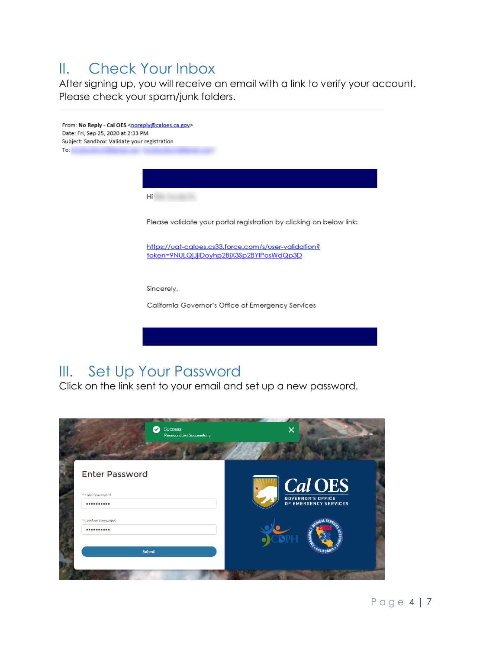#### <span id="page-3-0"></span>II. Check Your Inbox

After signing up, you will receive an email with a link to verify your account. Please check your spam/junk folders.



## <span id="page-3-1"></span>III. Set Up Your Password

Click on the link sent to your email and set up a new password.

| Success<br>Ø<br>Password Set Successfully | ×                                                     |
|-------------------------------------------|-------------------------------------------------------|
| <b>Enter Password</b>                     |                                                       |
| *Enter Password<br>                       | Cal OES<br>GOVERNOR'S OFFICE<br>OF EMERGENCY SERVICES |
| * Confirm Password<br>                    | <b>CROEN</b>                                          |
| Submit                                    |                                                       |
|                                           |                                                       |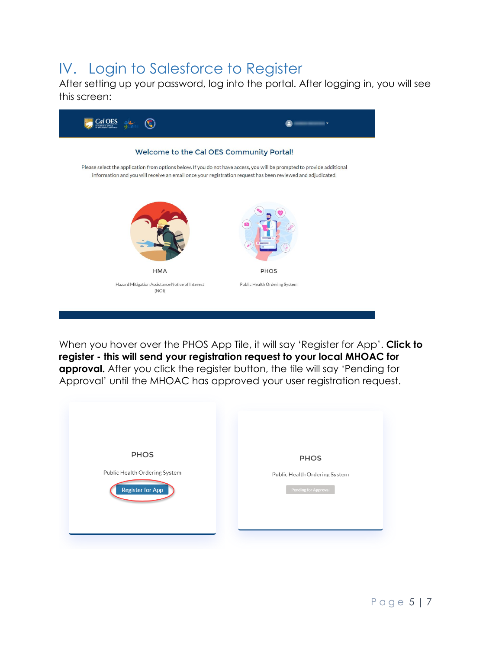### <span id="page-4-0"></span>IV. Login to Salesforce to Register

After setting up your password, log into the portal. After logging in, you will see this screen:



When you hover over the PHOS App Tile, it will say 'Register for App'. **Click to register - this will send your registration request to your local MHOAC for approval.** After you click the register button, the tile will say 'Pending for Approval' until the MHOAC has approved your user registration request.

| <b>PHOS</b>                   | <b>PHOS</b>                   |
|-------------------------------|-------------------------------|
| Public Health Ordering System | Public Health Ordering System |
| Register for App              | Pending for Approval          |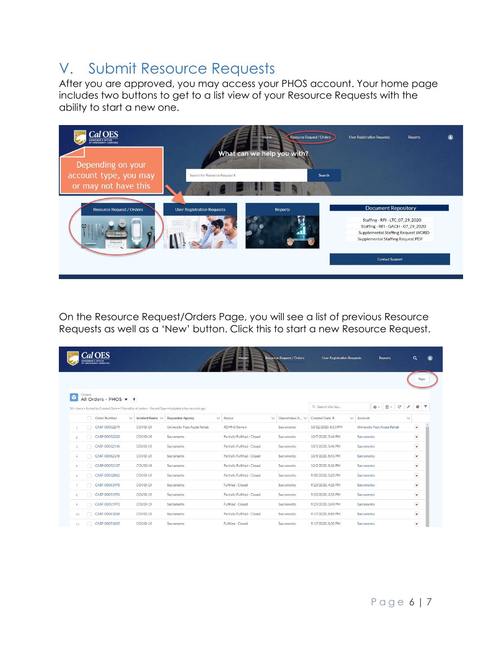### <span id="page-5-0"></span>V. Submit Resource Requests

After you are approved, you may access your PHOS account. Your home page includes two buttons to get to a list view of your Resource Requests with the ability to start a new one.



On the Resource Request/Orders Page, you will see a list of previous Resource Requests as well as a 'New' button. Click this to start a new Resource Request.

|                |        | <b>GOVERNOR'S OFFICE</b><br><b>DF EMERGENCY SERVICES</b> |              |                      |                                                                                                       | Home                         |              | <b>Resource Request / Orders</b> | <b>User Registration Requests</b> |              |            | <b>Reports</b>                  |              | $\alpha$                  |  |
|----------------|--------|----------------------------------------------------------|--------------|----------------------|-------------------------------------------------------------------------------------------------------|------------------------------|--------------|----------------------------------|-----------------------------------|--------------|------------|---------------------------------|--------------|---------------------------|--|
|                |        |                                                          |              |                      |                                                                                                       |                              |              |                                  |                                   |              |            |                                 |              | <b>New</b>                |  |
| ٠              | Orders | All Orders - PHOS $\blacktriangledown$ $\frac{1}{4}$     |              |                      | 50+ items . Sorted by Created Date . Filtered by all orders - Record Type . Updated a few seconds ago |                              |              |                                  | Q Search this list                |              |            | $\overline{\mathbb{H}}$ *<br>☆↓ | G            | ¢                         |  |
|                | п      | <b>Order Number</b>                                      | $\checkmark$ | Incident Name $\vee$ | <b>Requestor Agency</b>                                                                               | $\vee$ Status                | $\checkmark$ | Operational A V                  | Created Date ↓                    | $\checkmark$ | Account    |                                 | $\checkmark$ |                           |  |
| $\mathbf{1}$   |        | CASF-00052279                                            |              | COVID-19             | University Post-Acute Rehab                                                                           | <b>RDMHS Review</b>          |              | Sacramento                       | 10/12/2020, 8:53 PM               |              |            | University Post-Acute Rehab     |              | $\blacktriangledown$      |  |
| $\overline{2}$ |        | CASF-00052212                                            |              | COVID-19             | Sacramento                                                                                            | Partially Fulfilled - Closed |              | Sacramento                       | 10/7/2020, 5:46 PM                |              | Sacramento |                                 |              | ▼                         |  |
| 3              |        | CASF-00052146                                            |              | COVID-19             | Sacramento                                                                                            | Partially Fulfilled - Closed |              | Sacramento                       | 10/5/2020, 5:46 PM                |              | Sacramento |                                 |              | $\boldsymbol{\mathrm{v}}$ |  |
| 4              |        | CASF-00052145                                            |              | COVID-19             | Sacramento                                                                                            | Partially Fulfilled - Closed |              | Sacramento                       | 10/5/2020. 5:41 PM                |              | Sacramento |                                 |              | $\blacktriangledown$      |  |
| 5              |        | CASF-00052117                                            |              | COVID-19             | Sacramento                                                                                            | Partially Fulfilled - Closed |              | Sacramento                       | 10/2/2020, 8:26 PM                |              | Sacramento |                                 |              | ▼                         |  |
| 6              |        | CASF-00052062                                            |              | COVID-19             | Sacramento                                                                                            | Partially Fulfilled - Closed |              | Sacramento                       | 9/30/2020, 5:28 PM                |              | Sacramento |                                 |              | $\overline{\phantom{a}}$  |  |
| $\overline{7}$ |        | CASF-00051978                                            |              | COVID-19             | Sacramento                                                                                            | Fulfilled - Closed           |              | Sacramento                       | 9/23/2020, 4:15 PM                |              | Sacramento |                                 |              | ◛                         |  |
| 8              |        | CASF-00051976                                            |              | COVID-19             | Sacramento                                                                                            | Partially Fulfilled - Closed |              | Sacramento                       | 9/23/2020, 3:56 PM                |              | Sacramento |                                 |              | $\overline{\mathbf{v}}$   |  |
| 9              |        | CASF-00051972                                            |              | COVID-19             | Sacramento                                                                                            | Fulfilled - Closed           |              | Sacramento                       | 9/23/2020, 3:49 PM                |              | Sacramento |                                 |              | $\overline{\phantom{a}}$  |  |
| 10             |        | CASF-00051826                                            |              | COVID-19             | Sacramento                                                                                            | Partially Fulfilled - Closed |              | Sacramento                       | 9/17/2020, 8:55 PM                |              | Sacramento |                                 |              | $\blacktriangledown$      |  |
| 11             |        | CASF-00051825                                            |              | COVID-19             | Sacramento                                                                                            | Fulfilled - Closed           |              | Sacramento                       | 9/17/2020, 8:30 PM                |              | Sacramento |                                 |              | $\blacktriangledown$      |  |